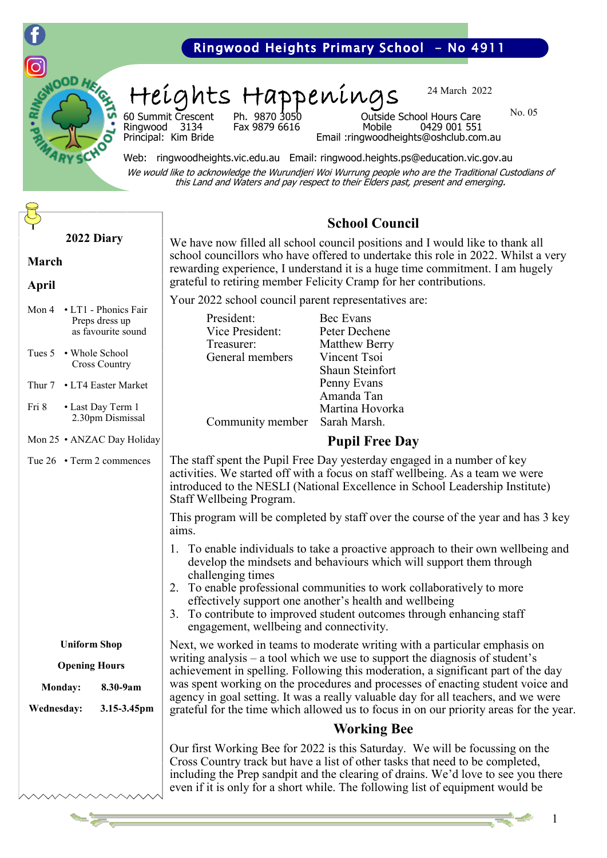

Heights Happenings

24 March 2022

No. 05

Ringwood 3134<br>Principal: Kim Bride

60 Summit Crescent Ph. 9870 3050 Outside School Hours Care Email: ringwoodheights@oshclub.com.au

Web: ringwoodheights.vic.edu.au Email: ringwood.heights.ps@education.vic.gov.au We would like to acknowledge the Wurundjeri Woi Wurrung people who are the Traditional Custodians of this Land and Waters and pay respect to their Elders past, present and emerging.

| 2022 Diary<br><b>March</b><br><b>April</b>                                                                                | <b>School C</b><br>We have now filled all school council posit<br>school councillors who have offered to und<br>rewarding experience, I understand it is a h<br>grateful to retiring member Felicity Cramp                                                                                       |                                                                       |
|---------------------------------------------------------------------------------------------------------------------------|--------------------------------------------------------------------------------------------------------------------------------------------------------------------------------------------------------------------------------------------------------------------------------------------------|-----------------------------------------------------------------------|
| Mon 4<br>• LT1 - Phonics Fair<br>Preps dress up<br>as favourite sound<br>Tues 5<br>• Whole School<br><b>Cross Country</b> | Your 2022 school council parent representa<br>President:<br>Vice President:<br>Treasurer:<br>General members                                                                                                                                                                                     | Bec Evans<br>Peter Deche<br>Matthew Be<br>Vincent Tso<br>Shaun Stein: |
| Thur 7 • LT4 Easter Market<br>Fri 8<br>• Last Day Term 1<br>2.30pm Dismissal                                              | Community member                                                                                                                                                                                                                                                                                 | Penny Evans<br>Amanda Tar<br>Martina Hov<br>Sarah Marsh               |
| Mon 25 . ANZAC Day Holiday                                                                                                |                                                                                                                                                                                                                                                                                                  | <b>Pupil Fre</b>                                                      |
| Tue 26 • Term 2 commences                                                                                                 | The staff spent the Pupil Free Day yesterda<br>activities. We started off with a focus on st<br>introduced to the NESLI (National Exceller<br>Staff Wellbeing Program.<br>This program will be completed by staff ov<br>aims.                                                                    |                                                                       |
|                                                                                                                           | 1. To enable individuals to take a proactively<br>develop the mindsets and behaviours w<br>challenging times<br>To enable professional communities to<br>2.<br>effectively support one another's health<br>To contribute to improved student outc<br>3.<br>engagement, wellbeing and connectivit |                                                                       |
| <b>Uniform Shop</b>                                                                                                       | Next, we worked in teams to moderate writ<br>writing analysis – a tool which we use to su<br>achievement in spelling. Following this mo<br>was spent working on the procedures and p<br>agency in goal setting. It was a really valua<br>grateful for the time which allowed us to fo            |                                                                       |
| <b>Opening Hours</b>                                                                                                      |                                                                                                                                                                                                                                                                                                  |                                                                       |
| 8.30-9am<br>Monday:<br><b>Wednesday:</b><br>3.15-3.45pm                                                                   |                                                                                                                                                                                                                                                                                                  |                                                                       |
|                                                                                                                           |                                                                                                                                                                                                                                                                                                  | Workin                                                                |
|                                                                                                                           | Our first Working Bee for 2022 is this Satu<br>Cross Country track but have a list of other<br>including the Prep sandpit and the clearing<br>even if it is only for a short while. The follo                                                                                                    |                                                                       |

# **School Council**

tions and I would like to thank all lertake this role in 2022. Whilst a very ruge time commitment. I am hugely for her contributions.

atives are:

| on 4 • LT1 - Phonics Fair<br>Preps dress up<br>as favourite sound<br>ues 5 • Whole School<br><b>Cross Country</b><br>uur 7 • LT4 Easter Market<br>i 8<br>• Last Day Term 1<br>2.30pm Dismissal | President:<br>Vice President:<br>Treasurer:<br>General members<br>Community member                                                                                                                                                                                   | Bec Evans<br>Peter Dechene<br><b>Matthew Berry</b><br>Vincent Tsoi<br>Shaun Steinfort<br>Penny Evans<br>Amanda Tan<br>Martina Hovorka<br>Sarah Marsh.                                                                                                                                                                                                            |
|------------------------------------------------------------------------------------------------------------------------------------------------------------------------------------------------|----------------------------------------------------------------------------------------------------------------------------------------------------------------------------------------------------------------------------------------------------------------------|------------------------------------------------------------------------------------------------------------------------------------------------------------------------------------------------------------------------------------------------------------------------------------------------------------------------------------------------------------------|
| on 25 . ANZAC Day Holiday                                                                                                                                                                      | <b>Pupil Free Day</b>                                                                                                                                                                                                                                                |                                                                                                                                                                                                                                                                                                                                                                  |
| $ne 26$ • Term 2 commences                                                                                                                                                                     | The staff spent the Pupil Free Day yesterday engaged in a number of key<br>activities. We started off with a focus on staff wellbeing. As a team we were<br>introduced to the NESLI (National Excellence in School Leadership Institute)<br>Staff Wellbeing Program. |                                                                                                                                                                                                                                                                                                                                                                  |
|                                                                                                                                                                                                | aims.                                                                                                                                                                                                                                                                | This program will be completed by staff over the course of the year and has 3 key                                                                                                                                                                                                                                                                                |
|                                                                                                                                                                                                | challenging times<br>3.<br>engagement, wellbeing and connectivity.                                                                                                                                                                                                   | 1. To enable individuals to take a proactive approach to their own wellbeing and<br>develop the mindsets and behaviours which will support them through<br>2. To enable professional communities to work collaboratively to more<br>effectively support one another's health and wellbeing<br>To contribute to improved student outcomes through enhancing staff |
| <b>Uniform Shop</b><br><b>Opening Hours</b>                                                                                                                                                    | Next, we worked in teams to moderate writing with a particular emphasis on<br>writing analysis $-$ a tool which we use to support the diagnosis of student's                                                                                                         |                                                                                                                                                                                                                                                                                                                                                                  |
| Monday:<br>8.30-9am                                                                                                                                                                            |                                                                                                                                                                                                                                                                      | achievement in spelling. Following this moderation, a significant part of the day<br>was spent working on the procedures and processes of enacting student voice and<br>agency in goal setting. It was a really valuable day for all teachers, and we were                                                                                                       |
| 3.15-3.45pm<br>'ednesday:                                                                                                                                                                      | grateful for the time which allowed us to focus in on our priority areas for the year.<br><b>Working Bee</b>                                                                                                                                                         |                                                                                                                                                                                                                                                                                                                                                                  |
|                                                                                                                                                                                                |                                                                                                                                                                                                                                                                      |                                                                                                                                                                                                                                                                                                                                                                  |
|                                                                                                                                                                                                |                                                                                                                                                                                                                                                                      | Our first Working Bee for 2022 is this Saturday. We will be focussing on the                                                                                                                                                                                                                                                                                     |

owing list of equipment would be

tasks that need to be completed, of drains. We'd love to see you there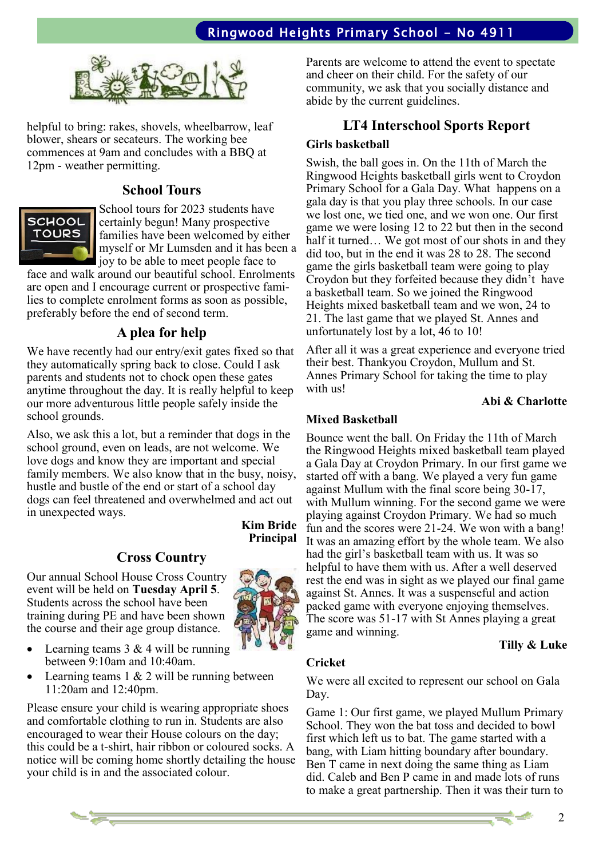

helpful to bring: rakes, shovels, wheelbarrow, leaf blower, shears or secateurs. The working bee commences at 9am and concludes with a BBQ at 12pm - weather permitting.

### **School Tours**



School tours for 2023 students have certainly begun! Many prospective families have been welcomed by either myself or Mr Lumsden and it has been a joy to be able to meet people face to

face and walk around our beautiful school. Enrolments are open and I encourage current or prospective families to complete enrolment forms as soon as possible, preferably before the end of second term.

### **A plea for help**

We have recently had our entry/exit gates fixed so that they automatically spring back to close. Could I ask parents and students not to chock open these gates anytime throughout the day. It is really helpful to keep our more adventurous little people safely inside the school grounds.

Also, we ask this a lot, but a reminder that dogs in the school ground, even on leads, are not welcome. We love dogs and know they are important and special family members. We also know that in the busy, noisy, hustle and bustle of the end or start of a school day dogs can feel threatened and overwhelmed and act out in unexpected ways.

### **Cross Country**

Our annual School House Cross Country event will be held on **Tuesday April 5**. Students across the school have been training during PE and have been shown the course and their age group distance.

**Kim Bride Principal**



- Learning teams  $3 & 4$  will be running between 9:10am and 10:40am.
- Learning teams  $1 & 2$  will be running between 11:20am and 12:40pm.

Please ensure your child is wearing appropriate shoes and comfortable clothing to run in. Students are also encouraged to wear their House colours on the day; this could be a t-shirt, hair ribbon or coloured socks. A notice will be coming home shortly detailing the house your child is in and the associated colour.

Parents are welcome to attend the event to spectate and cheer on their child. For the safety of our community, we ask that you socially distance and abide by the current guidelines.

### **LT4 Interschool Sports Report**

### **Girls basketball**

Swish, the ball goes in. On the 11th of March the Ringwood Heights basketball girls went to Croydon Primary School for a Gala Day. What happens on a gala day is that you play three schools. In our case we lost one, we tied one, and we won one. Our first game we were losing 12 to 22 but then in the second half it turned… We got most of our shots in and they did too, but in the end it was 28 to 28. The second game the girls basketball team were going to play Croydon but they forfeited because they didn't have a basketball team. So we joined the Ringwood Heights mixed basketball team and we won, 24 to 21. The last game that we played St. Annes and unfortunately lost by a lot, 46 to 10!

After all it was a great experience and everyone tried their best. Thankyou Croydon, Mullum and St. Annes Primary School for taking the time to play with us!

### **Abi & Charlotte**

### **Mixed Basketball**

Bounce went the ball. On Friday the 11th of March the Ringwood Heights mixed basketball team played a Gala Day at Croydon Primary. In our first game we started off with a bang. We played a very fun game against Mullum with the final score being 30-17, with Mullum winning. For the second game we were playing against Croydon Primary. We had so much fun and the scores were 21-24. We won with a bang! It was an amazing effort by the whole team. We also had the girl's basketball team with us. It was so helpful to have them with us. After a well deserved rest the end was in sight as we played our final game against St. Annes. It was a suspenseful and action packed game with everyone enjoying themselves. The score was 51-17 with St Annes playing a great game and winning.

### **Tilly & Luke**

#### **Cricket**

We were all excited to represent our school on Gala Day.

Game 1: Our first game, we played Mullum Primary School. They won the bat toss and decided to bowl first which left us to bat. The game started with a bang, with Liam hitting boundary after boundary. Ben T came in next doing the same thing as Liam did. Caleb and Ben P came in and made lots of runs to make a great partnership. Then it was their turn to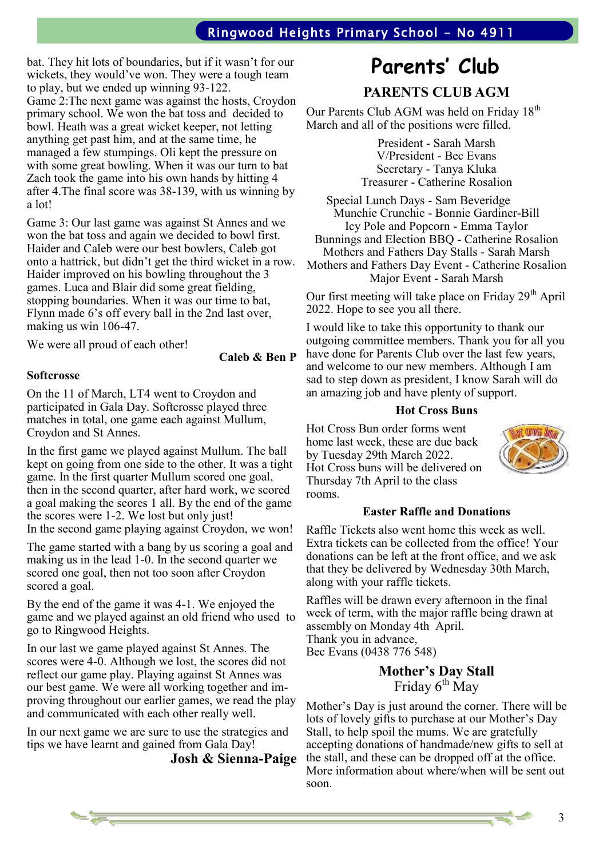bat. They hit lots of boundaries, but if it wasn't for our wickets, they would've won. They were a tough team to play, but we ended up winning 93-122. Game 2:The next game was against the hosts, Croydon primary school. We won the bat toss and decided to bowl. Heath was a great wicket keeper, not letting anything get past him, and at the same time, he managed a few stumpings. Oli kept the pressure on with some great bowling. When it was our turn to bat Zach took the game into his own hands by hitting 4 after 4.The final score was 38-139, with us winning by a lot!

Game 3: Our last game was against St Annes and we won the bat toss and again we decided to bowl first. Haider and Caleb were our best bowlers, Caleb got onto a hattrick, but didn't get the third wicket in a row. Haider improved on his bowling throughout the 3 games. Luca and Blair did some great fielding, stopping boundaries. When it was our time to bat, Flynn made 6's off every ball in the 2nd last over, making us win 106-47.

We were all proud of each other!

**Caleb & Ben P**

### **Softcrosse**

On the 11 of March, LT4 went to Croydon and participated in Gala Day. Softcrosse played three matches in total, one game each against Mullum, Croydon and St Annes.

In the first game we played against Mullum. The ball kept on going from one side to the other. It was a tight game. In the first quarter Mullum scored one goal, then in the second quarter, after hard work, we scored a goal making the scores 1 all. By the end of the game the scores were 1-2. We lost but only just! In the second game playing against Croydon, we won!

The game started with a bang by us scoring a goal and making us in the lead 1-0. In the second quarter we scored one goal, then not too soon after Croydon scored a goal.

By the end of the game it was 4-1. We enjoyed the game and we played against an old friend who used to go to Ringwood Heights.

In our last we game played against St Annes. The scores were 4-0. Although we lost, the scores did not reflect our game play. Playing against St Annes was our best game. We were all working together and improving throughout our earlier games, we read the play and communicated with each other really well.

In our next game we are sure to use the strategies and tips we have learnt and gained from Gala Day!

**Josh & Sienna-Paige**

# **Parents' Club**

**PARENTS CLUB AGM**

Our Parents Club AGM was held on Friday 18<sup>th</sup> March and all of the positions were filled.

> President - Sarah Marsh V/President - Bec Evans Secretary - Tanya Kluka Treasurer - Catherine Rosalion

Special Lunch Days - Sam Beveridge Munchie Crunchie - Bonnie Gardiner-Bill Icy Pole and Popcorn - Emma Taylor Bunnings and Election BBQ - Catherine Rosalion Mothers and Fathers Day Stalls - Sarah Marsh Mothers and Fathers Day Event - Catherine Rosalion Major Event - Sarah Marsh

Our first meeting will take place on Friday  $29<sup>th</sup>$  April 2022. Hope to see you all there.

I would like to take this opportunity to thank our outgoing committee members. Thank you for all you have done for Parents Club over the last few years, and welcome to our new members. Although I am sad to step down as president, I know Sarah will do an amazing job and have plenty of support.

### **Hot Cross Buns**

Hot Cross Bun order forms went home last week, these are due back by Tuesday 29th March 2022. Hot Cross buns will be delivered on Thursday 7th April to the class rooms.



### **Easter Raffle and Donations**

Raffle Tickets also went home this week as well. Extra tickets can be collected from the office! Your donations can be left at the front office, and we ask that they be delivered by Wednesday 30th March, along with your raffle tickets.

Raffles will be drawn every afternoon in the final week of term, with the major raffle being drawn at assembly on Monday 4th April. Thank you in advance, Bec Evans (0438 776 548)

> **Mother's Day Stall**  Friday 6<sup>th</sup> May

Mother's Day is just around the corner. There will be lots of lovely gifts to purchase at our Mother's Day Stall, to help spoil the mums. We are gratefully accepting donations of handmade/new gifts to sell at the stall, and these can be dropped off at the office. More information about where/when will be sent out soon.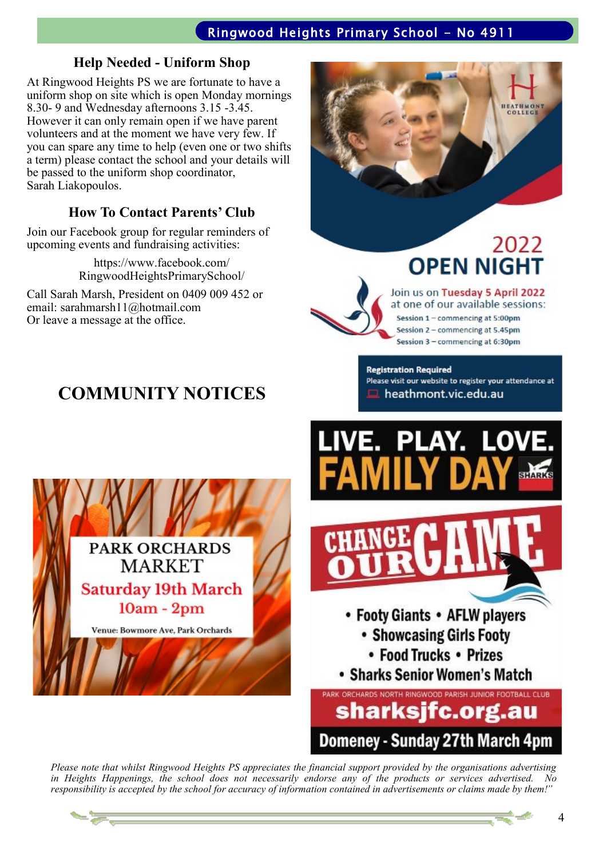### **Help Needed - Uniform Shop**

At Ringwood Heights PS we are fortunate to have a uniform shop on site which is open Monday mornings 8.30- 9 and Wednesday afternoons 3.15 -3.45. However it can only remain open if we have parent volunteers and at the moment we have very few. If you can spare any time to help (even one or two shifts a term) please contact the school and your details will be passed to the uniform shop coordinator, Sarah Liakopoulos.

# **How To Contact Parents' Club**

Join our Facebook group for regular reminders of upcoming events and fundraising activities:

> https://www.facebook.com/ RingwoodHeightsPrimarySchool/

Call Sarah Marsh, President on 0409 009 452 or email: sarahmarsh11@hotmail.com Or leave a message at the office.

# **COMMUNITY NOTICES**





Join us on Tuesday 5 April 2022 at one of our available sessions: Session 1 - commencing at 5:00pm Session 2 - commencing at 5.45pm Session 3 - commencing at 6:30pm

**Registration Required** Please visit our website to register your attendance at heathmont.vic.edu.au





• Sharks Senior Women's Match

PARK ORCHARDS NORTH RINGWOOD PARISH JUNIOR FOOTBALL CLUB sharksjfc.org.au Domeney - Sunday 27th March 4pm

*Please note that whilst Ringwood Heights PS appreciates the financial support provided by the organisations advertising in Heights Happenings, the school does not necessarily endorse any of the products or services advertised. No responsibility is accepted by the school for accuracy of information contained in advertisements or claims made by them!"*